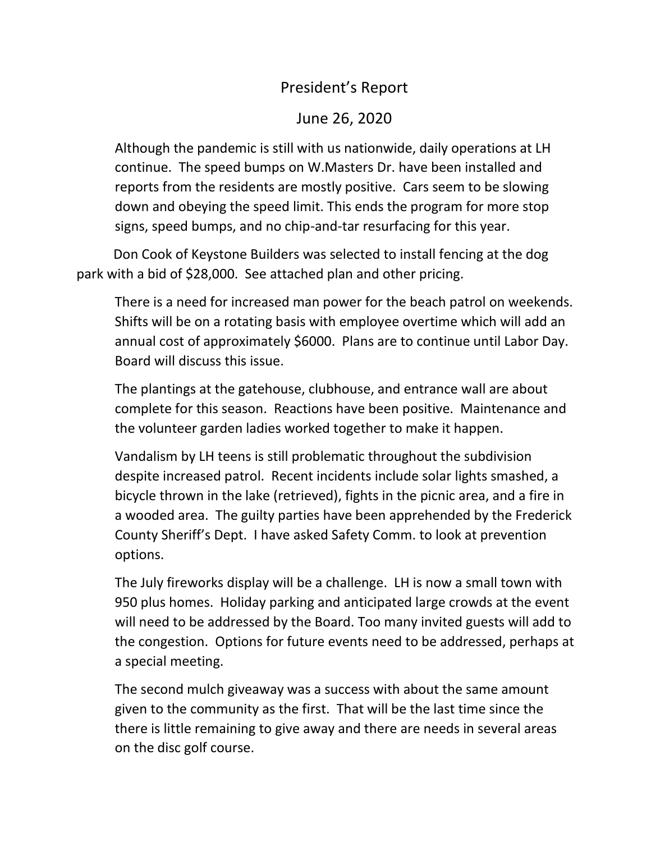## President's Report

## June 26, 2020

Although the pandemic is still with us nationwide, daily operations at LH continue. The speed bumps on W.Masters Dr. have been installed and reports from the residents are mostly positive. Cars seem to be slowing down and obeying the speed limit. This ends the program for more stop signs, speed bumps, and no chip-and-tar resurfacing for this year.

 Don Cook of Keystone Builders was selected to install fencing at the dog park with a bid of \$28,000. See attached plan and other pricing.

There is a need for increased man power for the beach patrol on weekends. Shifts will be on a rotating basis with employee overtime which will add an annual cost of approximately \$6000. Plans are to continue until Labor Day. Board will discuss this issue.

The plantings at the gatehouse, clubhouse, and entrance wall are about complete for this season. Reactions have been positive. Maintenance and the volunteer garden ladies worked together to make it happen.

Vandalism by LH teens is still problematic throughout the subdivision despite increased patrol. Recent incidents include solar lights smashed, a bicycle thrown in the lake (retrieved), fights in the picnic area, and a fire in a wooded area. The guilty parties have been apprehended by the Frederick County Sheriff's Dept. I have asked Safety Comm. to look at prevention options.

The July fireworks display will be a challenge. LH is now a small town with 950 plus homes. Holiday parking and anticipated large crowds at the event will need to be addressed by the Board. Too many invited guests will add to the congestion. Options for future events need to be addressed, perhaps at a special meeting.

The second mulch giveaway was a success with about the same amount given to the community as the first. That will be the last time since the there is little remaining to give away and there are needs in several areas on the disc golf course.